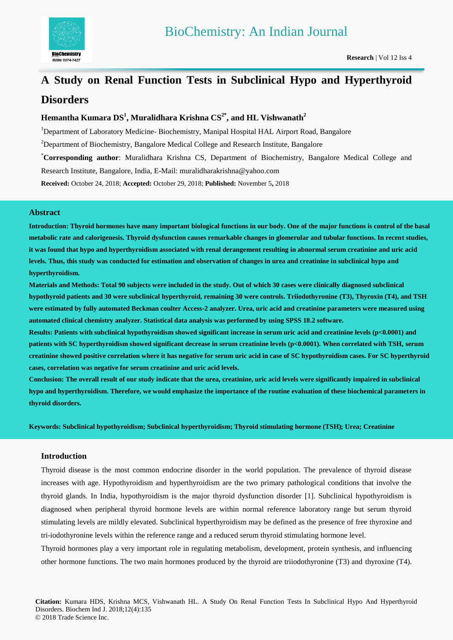

# **A Study on Renal Function Tests in Subclinical Hypo and Hyperthyroid Disorders**

# **Hemantha Kumara DS 1 , Muralidhara Krishna CS2\* , and HL Vishwanath<sup>2</sup>**

<sup>1</sup>Department of Laboratory Medicine-Biochemistry, Manipal Hospital HAL Airport Road, Bangalore

<sup>2</sup>Department of Biochemistry, Bangalore Medical College and Research Institute, Bangalore

\***Corresponding author**: Muralidhara Krishna CS, Department of Biochemistry, Bangalore Medical College and

Research Institute, Bangalore, India, E-Mail: muralidharakrishna@yahoo.com

**Received:** October 24, 2018; **Accepted:** October 29, 2018; **Published:** November 5**,** 2018

### **Abstract**

**Introduction: Thyroid hormones have many important biological functions in our body. One of the major functions is control of the basal metabolic rate and calorigenesis. Thyroid dysfunction causes remarkable changes in glomerular and tubular functions. In recent studies, it was found that hypo and hyperthyroidism associated with renal derangement resulting in abnormal serum creatinine and uric acid levels. Thus, this study was conducted for estimation and observation of changes in urea and creatinine in subclinical hypo and hyperthyroidism.**

**Materials and Methods: Total 90 subjects were included in the study. Out of which 30 cases were clinically diagnosed subclinical hypothyroid patients and 30 were subclinical hyperthyroid, remaining 30 were controls. Triiodothyronine (T3), Thyroxin (T4), and TSH were estimated by fully automated Beckman coulter Access-2 analyzer. Urea, uric acid and creatinine parameters were measured using automated clinical chemistry analyzer. Statistical data analysis was performed by using SPSS 18.2 software.** 

**Results: Patients with subclinical hypothyroidism showed significant increase in serum uric acid and creatinine levels (p<0.0001) and patients with SC hyperthyroidism showed significant decrease in serum creatinine levels (p<0.0001). When correlated with TSH, serum creatinine showed positive correlation where it has negative for serum uric acid in case of SC hypothyroidism cases. For SC hyperthyroid cases, correlation was negative for serum creatinine and uric acid levels.**

**Conclusion: The overall result of our study indicate that the urea, creatinine, uric acid levels were significantly impaired in subclinical hypo and hyperthyroidism. Therefore, we would emphasize the importance of the routine evaluation of these biochemical parameters in thyroid disorders.**

**Keywords: Subclinical hypothyroidism; Subclinical hyperthyroidism; Thyroid stimulating hormone (TSH); Urea; Creatinine**

# **Introduction**

Thyroid disease is the most common endocrine disorder in the world population. The prevalence of thyroid disease increases with age. Hypothyroidism and hyperthyroidism are the two primary pathological conditions that involve the thyroid glands. In India, hypothyroidism is the major thyroid dysfunction disorder [1]. Subclinical hypothyroidism is diagnosed when peripheral thyroid hormone levels are within normal reference laboratory range but serum thyroid stimulating levels are mildly elevated. Subclinical hyperthyroidism may be defined as the presence of free thyroxine and tri-iodothyronine levels within the reference range and a reduced serum thyroid stimulating hormone level.

Thyroid hormones play a very important role in regulating metabolism, development, protein synthesis, and influencing other hormone functions. The two main hormones produced by the thyroid are triiodothyronine (T3) and thyroxine (T4).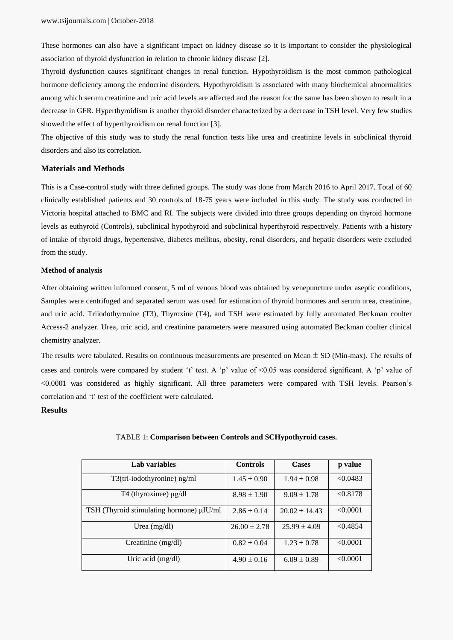These hormones can also have a significant impact on kidney disease so it is important to consider the physiological association of thyroid dysfunction in relation to chronic kidney disease [2].

Thyroid dysfunction causes significant changes in renal function. Hypothyroidism is the most common pathological hormone deficiency among the endocrine disorders. Hypothyroidism is associated with many biochemical abnormalities among which serum creatinine and uric acid levels are affected and the reason for the same has been shown to result in a decrease in GFR. Hyperthyroidism is another thyroid disorder characterized by a decrease in TSH level. Very few studies showed the effect of hyperthyroidism on renal function [3].

The objective of this study was to study the renal function tests like urea and creatinine levels in subclinical thyroid disorders and also its correlation.

#### **Materials and Methods**

This is a Case-control study with three defined groups. The study was done from March 2016 to April 2017. Total of 60 clinically established patients and 30 controls of 18-75 years were included in this study. The study was conducted in Victoria hospital attached to BMC and RI. The subjects were divided into three groups depending on thyroid hormone levels as euthyroid (Controls), subclinical hypothyroid and subclinical hyperthyroid respectively. Patients with a history of intake of thyroid drugs, hypertensive, diabetes mellitus, obesity, renal disorders, and hepatic disorders were excluded from the study.

#### **Method of analysis**

After obtaining written informed consent, 5 ml of venous blood was obtained by venepuncture under aseptic conditions, Samples were centrifuged and separated serum was used for estimation of thyroid hormones and serum urea, creatinine, and uric acid. Triiodothyronine (T3), Thyroxine (T4), and TSH were estimated by fully automated Beckman coulter Access-2 analyzer. Urea, uric acid, and creatinine parameters were measured using automated Beckman coulter clinical chemistry analyzer.

The results were tabulated. Results on continuous measurements are presented on Mean  $\pm$  SD (Min-max). The results of cases and controls were compared by student 't' test. A 'p' value of  $\leq 0.05$  was considered significant. A 'p' value of <0.0001 was considered as highly significant. All three parameters were compared with TSH levels. Pearson's correlation and 't' test of the coefficient were calculated.

#### **Results**

| Lab variables                            | <b>Controls</b>  | <b>Cases</b>      | p value  |
|------------------------------------------|------------------|-------------------|----------|
|                                          |                  |                   |          |
| T3(tri-iodothyronine) ng/ml              | $1.45 \pm 0.90$  | $1.94 \pm 0.98$   | < 0.0483 |
| T4 (thyroxinee) $\mu$ g/dl               | $8.98 \pm 1.90$  | $9.09 \pm 1.78$   | < 0.8178 |
| TSH (Thyroid stimulating hormone) µIU/ml | $2.86 \pm 0.14$  | $20.02 \pm 14.43$ | < 0.0001 |
| Urea $(mg/dl)$                           | $26.00 \pm 2.78$ | $25.99 \pm 4.09$  | < 0.4854 |
| Creatinine (mg/dl)                       | $0.82 \pm 0.04$  | $1.23 \pm 0.78$   | < 0.0001 |
| Uric acid $(mg/dl)$                      | $4.90 \pm 0.16$  | $6.09 \pm 0.89$   | < 0.0001 |

#### TABLE 1: **Comparison between Controls and SCHypothyroid cases.**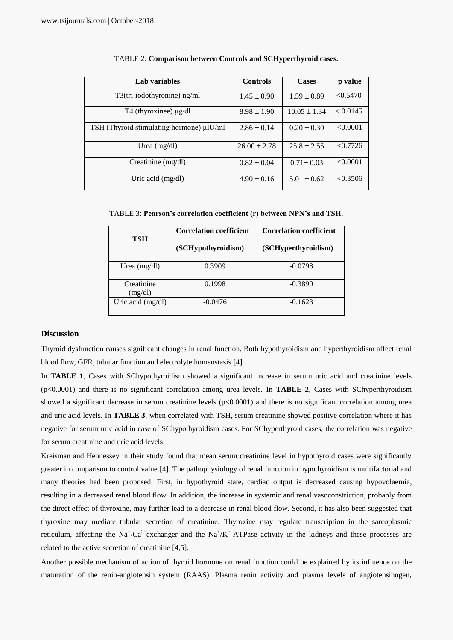| Lab variables                            | <b>Controls</b>  | <b>Cases</b>     | p value  |
|------------------------------------------|------------------|------------------|----------|
| $T3$ (tri-iodothyronine) ng/ml           | $1.45 \pm 0.90$  | $1.59 \pm 0.89$  | < 0.5470 |
| T <sub>4</sub> (thyroxinee) $\mu$ g/dl   | $8.98 \pm 1.90$  | $10.05 \pm 1.34$ | < 0.0145 |
| TSH (Thyroid stimulating hormone) µIU/ml | $2.86 \pm 0.14$  | $0.20 \pm 0.30$  | < 0.0001 |
| Urea $(mg/dl)$                           | $26.00 \pm 2.78$ | $25.8 \pm 2.55$  | < 0.7726 |
| Creatinine (mg/dl)                       | $0.82 \pm 0.04$  | $0.71 \pm 0.03$  | < 0.0001 |
| Uric acid $(mg/dl)$                      | $4.90 \pm 0.16$  | $5.01 \pm 0.62$  | < 0.3506 |

#### TABLE 2: **Comparison between Controls and SCHyperthyroid cases.**

TABLE 3: **Pearson's correlation coefficient (r) between NPN's and TSH.**

| TSH                   | <b>Correlation coefficient</b><br>(SCHypothyroidism) | <b>Correlation coefficient</b><br>(SCHyperthyroidism) |
|-----------------------|------------------------------------------------------|-------------------------------------------------------|
| Urea $(mg/dl)$        | 0.3909                                               | $-0.0798$                                             |
| Creatinine<br>(mg/dl) | 0.1998                                               | $-0.3890$                                             |
| Uric acid (mg/dl)     | $-0.0476$                                            | $-0.1623$                                             |

#### **Discussion**

Thyroid dysfunction causes significant changes in renal function. Both hypothyroidism and hyperthyroidism affect renal blood flow, GFR, tubular function and electrolyte homeostasis [4].

In **TABLE 1**, Cases with SChypothyroidism showed a significant increase in serum uric acid and creatinine levels (p<0.0001) and there is no significant correlation among urea levels. In **TABLE 2**, Cases with SChyperthyroidism showed a significant decrease in serum creatinine levels  $(p<0.0001)$  and there is no significant correlation among urea and uric acid levels. In **TABLE 3**, when correlated with TSH, serum creatinine showed positive correlation where it has negative for serum uric acid in case of SChypothyroidism cases. For SChyperthyroid cases, the correlation was negative for serum creatinine and uric acid levels.

Kreisman and Hennessey in their study found that mean serum creatinine level in hypothyroid cases were significantly greater in comparison to control value [4]. The pathophysiology of renal function in hypothyroidism is multifactorial and many theories had been proposed. First, in hypothyroid state, cardiac output is decreased causing hypovolaemia, resulting in a decreased renal blood flow. In addition, the increase in systemic and renal vasoconstriction, probably from the direct effect of thyroxine, may further lead to a decrease in renal blood flow. Second, it has also been suggested that thyroxine may mediate tubular secretion of creatinine. Thyroxine may regulate transcription in the sarcoplasmic reticulum, affecting the  $Na^+/Ca^{2+}$ exchanger and the  $Na^+/K^+$ -ATPase activity in the kidneys and these processes are related to the active secretion of creatinine [4,5].

Another possible mechanism of action of thyroid hormone on renal function could be explained by its influence on the maturation of the renin-angiotensin system (RAAS). Plasma renin activity and plasma levels of angiotensinogen,